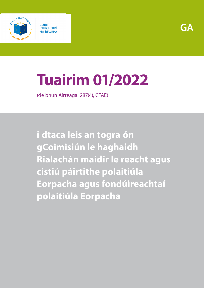

# **Tuairim 01/2022**

(de bhun Airteagal 287(4), CFAE)

**i dtaca leis an togra ón gCoimisiún le haghaidh Rialachán maidir le reacht agus cistiú páirtithe polaitiúla Eorpacha agus fondúireachtaí polaitiúla Eorpacha**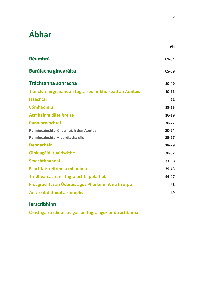# **Ábhar**

| <b>Réamhrá</b>                                          | 01-04     |
|---------------------------------------------------------|-----------|
| Barúlacha ginearálta                                    | 05-09     |
| <b>Tráchtanna sonracha</b>                              | 10-49     |
| Tionchar airgeadais an togra seo ar bhuiséad an Aontais | 10-11     |
| lasachtaí                                               | 12        |
| <b>Cómhaoiniú</b>                                       | 13-15     |
| <b>Acmhainní dílse breise</b>                           | 16-19     |
| <b>Ranníocaíochtaí</b>                                  | $20 - 27$ |
| Ranníocaíochtaí ó lasmuigh den Aontas                   | $20 - 24$ |
| Ranníocaíochtaí - barúlacha eile                        | $25 - 27$ |
| <b>Deonacháin</b>                                       | 28-29     |
| Oibleagáidí tuairiscithe                                | 30-32     |
| <b>Smachtbhannaí</b>                                    | 33-38     |
| Feachtais reifrinn a mhaoiniú                           | 39-43     |
| Trédhearcacht na fógraíochta polaitiúla                 | 44-47     |
| Freagrachtaí an Údaráis agus Pharlaimint na hEorpa      | 48        |
| An creat dlíthiúil a shimpliú                           | 49        |
|                                                         |           |

### **[Iarscríbhinn](#page-19-0)**

**[Crostagairtí idir airteagail an togra agus ár dtráchtanna](#page-19-1)**

**Alt**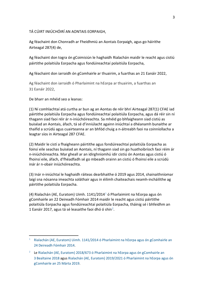TÁ CÚIRT INIÚCHÓIRÍ AN AONTAIS EORPAIGH,

Ag féachaint don Chonradh ar Fheidhmiú an Aontais Eorpaigh, agus go háirithe Airteagal 287(4) de,

Ag féachaint don togra ón gCoimisiún le haghaidh Rialachán maidir le reacht agus cistiú páirtithe polaitiúla Eorpacha agus fondúireachtaí polaitiúla Eorpacha,

Ag féachaint don iarraidh ón gComhairle ar thuairim, a fuarthas an 21 Eanáir 2022,

Ag féachaint don iarraidh ó Pharlaimint na hEorpa ar thuairim, a fuarthas an 31 Eanáir 2022,

De bharr an mhéid seo a leanas:

(1) Ní comhlachtaí atá curtha ar bun ag an Aontas de réir bhrí Airteagal 287(1) CFAE iad páirtithe polaitiúla Eorpacha agus fondúireachtaí polaitiúla Eorpacha, agus dá réir sin ní thagann siad faoi réir ár n-iniúchóireachta. Sa mhéid go bhfaigheann siad cistiú as buiséad an Aontais, áfach, tá sé d'inniúlacht againn iniúchtaí a dhéanamh bunaithe ar thaifid a scrúdú agus cuairteanna ar an bhfód chuig a n-áitreabh faoi na coinníollacha a leagtar síos in Airteagal 287 CFAE.

(2) Maidir le cistí a fhaigheann páirtithe agus fondúireachtaí polaitiúla Eorpacha as foinsí eile seachas buiséad an Aontais, ní thagann siad sin go huathoibríoch faoi réim ár n-iniúchóireachta. Mar gheall ar an idirghníomhú idir cistiú ón Aontas agus cistiú ó fhoinsí eile, áfach, d'fhéadfadh sé go mbeadh orainn an cistiú ó fhoinsí eile a scrúdú inár ár n-obair iniúchóireachta.

(3) Inár n-iniúchtaí le haghaidh ráiteas dearbhaithe ó 2019 agus 2014, shainaithníomar laigí sna nósanna imeachta soláthair agus in éilimh chaiteachais neamh-incháilithe ag páirtithe polaitiúla Eorpacha.

(4) Rialachán (AE, Euratom) Uimh.  $1141/2014<sup>1</sup>$  $1141/2014<sup>1</sup>$ ó Pharlaimint na hEorpa agus ón gComhairle an 22 Deireadh Fómhair 2014 maidir le reacht agus cistiú páirtithe polaitiúla Eorpacha agus fondúireachtaí polaitiúla Eorpacha, tháinig sé i bhfeidhm an 1 Eanáir [2](#page-2-1)017, agus tá sé leasaithe faoi dhó ó shin<sup>2</sup>.

<span id="page-2-0"></span><sup>&</sup>lt;sup>1</sup> Rialachán (AE, Euratom) Uimh. 1141/2014 ó Pharlaimint na hEorpa agus ón gComhairle an 24 [Deireadh Fómhair](https://eur-lex.europa.eu/legal-content/GA/TXT/?uri=CELEX:32014R1141) 2014.

<span id="page-2-1"></span><sup>&</sup>lt;sup>2</sup> Le Rialachán (AE, Euratom) 2018/673 ó Pharlaimint na hEorpa agus ón gComhairle an 3 [Bealtaine](https://eur-lex.europa.eu/legal-content/GA/TXT/?uri=celex:32018R0673) 2018 agus [Rialachán \(AE, Euratom\) 2019/2021 ó Pharlaimint na hEorpa agus ón](https://eur-lex.europa.eu/legal-content/GA/TXT/?uri=celex:32019R0493)  [gComhairle an 25](https://eur-lex.europa.eu/legal-content/GA/TXT/?uri=celex:32019R0493) Márta 2019.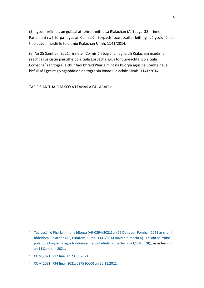(5) I gcomhréir leis an gclásal athbhreithnithe sa Rialachán (Airteagal 38), rinne Parlaimint na hEorpa<sup>[3](#page-3-0)</sup> agus an Coimisiún Eorpach<sup>[4](#page-3-1)</sup> tuarascáil ar leithligh dá gcuid féin a thíolacadh maidir le feidhmiú Rialachán Uimh. 1141/2014.

(6) An 25 Samhain 2021, rinne an Coimisiún togra le haghaidh Rialachán maidir le reacht agus cistiú páirtithe polaitiúla Eorpacha agus fondúireachtaí polaitiúla Eorpacha[5](#page-3-2) (an togra) a chur faoi bhráid Pharlaimint na hEorpa agus na Comhairle, a bhfuil sé i gceist go ngabhfaidh an togra sin ionad Rialachán Uimh. 1141/2014.

TAR ÉIS AN TUAIRIM SEO A LEANAS A GHLACADH:

<span id="page-3-2"></span><sup>5</sup> COM(2021) 734 [final, 2021/0375 \(COD\) an 25.11.2021.](https://eur-lex.europa.eu/legal-content/GA/TXT/?uri=CELEX%3A52021PC0734&qid=1650611152985)

<span id="page-3-0"></span><sup>&</sup>lt;sup>3</sup> [Tuarascáil ó Pharlaimint na hEorpa \(A9-0294/2021\) an 26](https://www.europarl.europa.eu/doceo/document/A-9-2021-0294_GA.html) Deireadh Fómhair 2021 ar chur i bhfeidhm Rialachán (AE, Euratom) Uimh. [1141/2014 maidir le reacht agus cistiú páirtithe](https://www.europarl.europa.eu/doceo/document/A-9-2021-0294_GA.html)  [polaitiúla Eorpacha agus fondúireachtaí polaitiúla Eorpacha \(2021/2018\(INI\)\),](https://www.europarl.europa.eu/doceo/document/A-9-2021-0294_GA.html) as ar lean [Rún](https://www.europarl.europa.eu/doceo/document/TA-9-2021-0454_GA.html)  an 11 [Samhain](https://www.europarl.europa.eu/doceo/document/TA-9-2021-0454_GA.html) 2021.

<span id="page-3-1"></span><sup>4</sup> COM(2021) 717 [final an 23.11.2021.](https://eur-lex.europa.eu/legal-content/GA/TXT/?uri=CELEX:52021DC0717)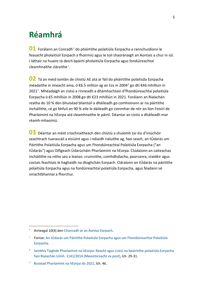### <span id="page-4-0"></span>**Réamhrá**

**01** Forálann an Conradh<sup>[6](#page-4-1)</sup> do pháirtithe polaitiúla Eorpacha a rannchuidíonn le feasacht pholaitiúil Eorpach a fhoirmiú agus le toil shaoránaigh an Aontais a chur in iúl. I láthair na huaire tá deich bpáirtí pholaitiúla Eorpacha agus fondúireachtaí cleamhnaithe cláraithe[7](#page-4-2).

**02** Tá an méid iomlán de chistiú AE atá ar fáil do pháirtithe polaitiúla Eorpacha méadaithe in imeacht ama, ó €6.5 milliún ag an tús in 2004<sup>[8](#page-4-3)</sup> go dtí €46 mhilliún in 2021<sup>[9](#page-4-4)</sup>. Mhéadaigh an cistiú a rinneadh a dhámhachtain d'fhondúireachtaí polaitiúla Eorpacha ó €5 mhilliún in 2008 go dtí €23 mhilliún in 2021. Forálann an Rialachán reatha do 10 % den bhuiséad bliantúil a dháileadh go comhionann ar na páirtithe incháilithe, cé go bhfuil an 90 % eile le dáileadh go cionmhar de réir an líon Feisirí de Pharlaimint na hEorpa atá cleamhnaithe le páirtí. Déantar an cistiú a dháileadh mar réamh-mhaoiniú.

**03** Déantar an méid críochnaitheach den chistiú a shuíomh tar éis d'iniúchóir seachtrach tuarascáil a eisiúint agus i ndiaidh rialuithe ag, faoi seach, an tÚdarás um Páirtithe Polaitiúla Eorpacha agus um Fhondúireachtaí Polaitiúla Eorpacha ("an tÚdarás") agus Oifigeach Údarúcháin Pharlaimint na hEorpa. Clúdaíonn an caiteachas incháilithe na nithe seo a leanas: cruinnithe, comhdhálacha, pearsanra, staidéir agus costais feachtais le haghaidh na dtoghchán Eorpach. Cláraíonn an tÚdarás na páirtithe polaitiúla Eorpacha agus na fondúireachtaí polaitiúla Eorpacha, agus féadann sé smachtbhannaí a fhorchur.

<span id="page-4-1"></span> <sup>6</sup> Airteagal 10(4) den [Chonradh ar an Aontas Eorpach.](https://eur-lex.europa.eu/legal-content/ga/TXT/?uri=CELEX:12012M/TXT)

<span id="page-4-2"></span><sup>7</sup> Foinse[: An tÚdarás um Páirtithe Polaitiúla Eorpacha agus um Fhondúireachtaí Polaitiúla](https://www.appf.europa.eu/appf/ga/parties-and-foundations/registered-parties)  [Eorpacha.](https://www.appf.europa.eu/appf/ga/parties-and-foundations/registered-parties)

<span id="page-4-3"></span><sup>8</sup> [Seirbhís Taighde Pharlaimint na hEorpa:](https://www.europarl.europa.eu/RegData/etudes/STUD/2021/662646/EPRS_STU(2021)662646_EN.pdf) Reacht agus cistiú na bpáirtithe polaitiúla Eorpacha faoi Rialachán Uimh. [1141/2014 \(Meastóireacht](https://www.europarl.europa.eu/RegData/etudes/STUD/2021/662646/EPRS_STU(2021)662646_EN.pdf) *ex post*), lch. 29-31.

<span id="page-4-4"></span>[Buiséad Pharlaimint na hEorpa do 2021,](https://eur-lex.europa.eu/budget/data/DB2/2021/en/SEC01.pdf) lch. 46.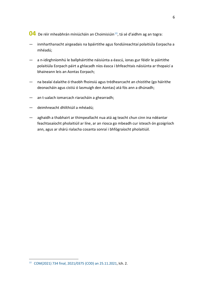- <span id="page-5-1"></span>**04** De réir mheabhrán míniúcháin an Choimisiúin<sup>10</sup>, tá sé d'aidhm ag an togra:
- inmharthanacht airgeadais na bpáirtithe agus fondúireachtaí polaitiúla Eorpacha a mhéadú;
- a n-idirghníomhú le ballpháirtithe náisiúnta a éascú, ionas gur féidir le páirtithe polaitiúla Eorpach páirt a ghlacadh níos éasca i bhfeachtais náisiúnta ar thopaicí a bhaineann leis an Aontas Eorpach;
- na bealaí éalaithe ó thaobh fhoinsiú agus trédhearcacht an chistithe (go háirithe deonacháin agus cistiú ó lasmuigh den Aontas) atá fós ann a dhúnadh;
- an t-ualach iomarcach riaracháin a ghearradh;
- deimhneacht dhlíthiúil a mhéadú;
- aghaidh a thabhairt ar thimpeallacht nua atá ag teacht chun cinn ina ndéantar feachtasaíocht pholaitiúil ar líne, ar an riosca go mbeadh cur isteach ón gcoigríoch ann, agus ar shárú rialacha cosanta sonraí i bhfógraíocht pholaitiúil.

<span id="page-5-0"></span> <sup>10</sup> COM(2021) <sup>734</sup> [final, 2021/0375 \(COD\) an 25.11.2021,](https://ec.europa.eu/info/sites/default/files/6_1_177519_euppproposal_en.pdf) lch. 2.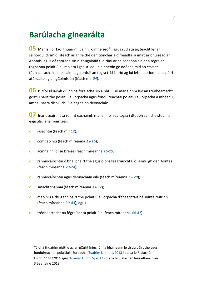### <span id="page-6-0"></span>**Barúlacha ginearálta**

<span id="page-6-2"></span>**05** Mar is fíor faoi thuairimí uainn roimhe seo<sup>[11](#page-6-1)</sup>, agus rud atá ag teacht lenár sainordú, dírímid isteach ar ghnéithe den tionchar a d'fhéadfaí a imirt ar bhuiséad an Aontais, agus dá thoradh sin ní thugaimid tuairimí ar na codanna sin den togra ar roghanna polaitiúla i mó atá i gceist leo. In ainneoin go ndéanaimid an *caveat* tábhachtach sin, measaimid go bhfuil an togra tríd is tríd ag luí leis na príomhchuspóirí atá luaite ag an gCoimisiún (féach mír *[04](#page-5-1)*).

**06** Is díol sásaimh dúinn na forálacha sin a bhfuil sé mar aidhm leo an trédhearcacht i gcistiú páirtithe polaitiúla Eorpacha agus fondúireachtaí polaitiúla Eorpacha a mhéadú, amhail sásra díchill chuí le haghaidh deonachán.

**07** Inár dtuairim, tá roinnt easnaimh mar sin féin sa togra i dtaobh saincheisteanna éagsúla, lena n-áirítear:

- o iasachtaí (féach mír *[12](#page-8-4)*);
- o cómhaoiniú (féach míreanna *[13](#page-8-5)*-*[15](#page-9-1)*);
- o acmhainní dílse breise (féach míreanna *[16](#page-9-2)*-*[19](#page-10-2)*);
- o ranníocaíochtaí ó bhallpháirtithe agus ó bhalleagraíochtaí ó lasmuigh den Aontas (féach míreanna *[20](#page-10-3)*-*[24](#page-11-1)*);
- o ranníocaíochtaí agus deonacháin eile (féach míreanna *[25](#page-11-2)*-*[29](#page-12-2)*);
- o smachtbhannaí (féach míreanna *[33](#page-13-1)*-*[37](#page-14-0)*);
- o maoiniú a thugann páirtithe polaitiúla Eorpacha d'fheachtais náisiúnta reifrinn (féach míreanna *[39](#page-15-1)*-*[43](#page-15-2)*); agus
- o trédhearcacht na fógraíochta polaitiúla (féach míreanna *[44](#page-16-1)*-*[47](#page-16-2)*).

<span id="page-6-1"></span> $11$  Tá dhá thuairim eisithe ag an gCúirt Iniúchóirí a bhaineann le cistiú páirtithe agus fondúireachtaí polaitiúla Eorpacha: [Tuairim Uimh.](https://www.eca.europa.eu/lists/ecadocuments/op13_01/op13_01_ga.pdf) 1/2013 i dtaca le Rialachán Uimh. 1141/2014 agus [Tuairim Uimh.](https://www.eca.europa.eu/Lists/ECADocuments/OP17_05/OP17_05_GA.pdf) 5/2017 i dtaca le Rialachán leasaitheach an 3 Bealtaine 2018.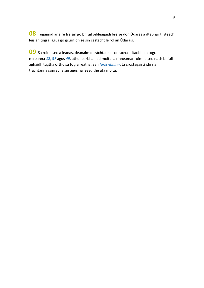**08** Tugaimid ar aire freisin go bhfuil oibleagáidí breise don Údarás á dtabhairt isteach leis an togra, agus go gcuirfidh sé sin castacht le ról an Údaráis.

**09** Sa roinn seo a leanas, déanaimid tráchtanna sonracha i dtaobh an togra. I míreanna *[12](#page-8-4)*, *[37](#page-14-0)* agus *[49](#page-18-1)*, athdhearbhaímid moltaí a rinneamar roimhe seo nach bhfuil aghaidh tugtha orthu sa togra reatha. San *Iarscríbhinn*, tá crostagairtí idir na tráchtanna sonracha sin agus na leasuithe atá molta.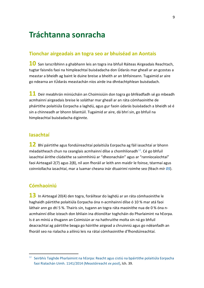### <span id="page-8-0"></span>**Tráchtanna sonracha**

#### <span id="page-8-1"></span>**Tionchar airgeadais an togra seo ar bhuiséad an Aontais**

**10** San Iarscríbhinn a ghabhann leis an togra ina bhfuil Ráiteas Airgeadais Reachtach, tugtar faisnéis faoi na himpleachtaí buiséadacha don Údarás mar gheall ar an gcostas a meastar a bheidh ag baint le duine breise a bheith ar an bhfoireann. Tugaimid ar aire go ndearna an tÚdarás meastachán níos airde ina dhréachtphlean buiséadach.

**11** Deir meabhrán míniúcháin an Choimisiúin don togra go bhféadfadh sé go mbeadh acmhainní airgeadais breise le soláthar mar gheall ar an ráta cómhaoinithe de pháirtithe polaitiúla Eorpacha a laghdú, agus gur faoin údarás buiséadach a bheidh sé é sin a chinneadh ar bhonn bliantúil. Tugaimid ar aire, dá bhrí sin, go bhfuil na himpleachtaí buiséadacha éiginnte.

#### <span id="page-8-2"></span>**Iasachtaí**

<span id="page-8-4"></span>**12** Bhí páirtithe agus fondúireachtaí polaitiúla Eorpacha ag fáil iasachtaí ar bhonn méadaitheach chun na ceanglais acmhainní dílse a chomhlíonadh $^{12}$ . Cé go bhfuil iasachtaí áirithe clúdaithe sa sainmhíniú ar "dheonacháin" agus ar "ranníocaíochtaí" faoi Airteagail 2(7) agus 2(8), níl aon fhoráil ar leith ann maidir le foinse, téarmaí agus coinníollacha iasachtaí, mar a luamar cheana inár dtuairimí roimhe seo (féach mír *[05](#page-6-2)*).

#### <span id="page-8-3"></span>**Cómhaoiniú**

<span id="page-8-5"></span>**13** In Airteagal 20(4) den togra, foráiltear do laghdú ar an ráta cómhaoinithe le haghaidh páirtithe polaitiúla Eorpacha óna n-acmhainní dílse ó 10 % mar atá faoi láthair ann go dtí 5 %. Thairis sin, tugann an togra ráta maoinithe nua de 0 % óna nacmhainní dílse isteach don bhliain ina dtionóltar toghcháin do Pharlaimint na hEorpa. Is é an míniú a thugann an Coimisiún ar na hathruithe molta sin ná go bhfuil deacrachtaí ag páirtithe beaga go háirithe airgead a chruinniú agus go ndéanfadh an fhoráil seo na rialacha a ailíniú leis na rátaí cómhaoinithe d'fhondúireachtaí.

<span id="page-8-6"></span><sup>&</sup>lt;sup>12</sup> [Seirbhís Taighde Pharlaimint na hEorpa:](https://www.europarl.europa.eu/RegData/etudes/STUD/2021/662646/EPRS_STU(2021)662646_EN.pdf?_sm_au_=iVV5Z00vnJ6sMWHFVkFHNKt0jRsMJ) Reacht agus cistiú na bpáirtithe polaitiúla Eorpacha faoi Rialachán Uimh. [1141/2014 \(Meastóireacht](https://www.europarl.europa.eu/RegData/etudes/STUD/2021/662646/EPRS_STU(2021)662646_EN.pdf?_sm_au_=iVV5Z00vnJ6sMWHFVkFHNKt0jRsMJ) *ex post*), lch. 39.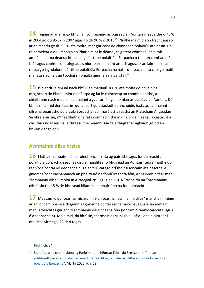**14** Tugaimid ar aire go bhfuil an cómhaoiniú as buiséad an Aontais méadaithe ó 75 % in 2004 go dtí 85 % in 2007 agus go dtí 90 % ó 2018 $^{13}$ . Ní dhéanaimid aon trácht anseo ar an méadú go dtí 95 % atá molta, mar gur ceist do chinneadh polaitiúil atá ansin. De réir staidéar a d'ullmhaigh an Pharlaimint le déanaí, faightear cóimheá, ar láimh amháin, idir na deacrachtaí atá ag páirtithe polaitiúla Eorpacha ó thaobh cómhaoiniú a fháil agus cobhsaíocht airgeadais níor fearr a bhaint amach agus, ar an láimh eile, an riosca go laghdaíonn páirtithe polaitiúla Eorpacha na naisc dhíreacha, atá caol go maith mar atá siad, leis an tsochaí shibhialta agus leis na Ballstáit $^{14}$  $^{14}$  $^{14}$ .

<span id="page-9-1"></span>**15** Is é ár dtuairim ná nach bhfuil an maoiniú 100 % atá molta do bhliain na dtoghchán do Pharlaimint na hEorpa ag luí le coincheap an chómhaoinithe, a chiallaíonn nach mbeidh acmhainní á gcur ar fáil go hiomlán as buiséad an Aontais. Dá bhrí sin, táimid den tuairim gur cheart go dtiocfadh rannchuidiú íosta as acmhainní dílse na bpáirtithe polaitiúla Eorpacha faoi fhorálacha reatha an Rialacháin Airgeadais. Sa bhreis air sin, d'fhéadfadh dhá ráta cómhaoinithe in dhá bhliain éagsúla castacht a chruthú i ndáil leis na leithreasuithe neamhúsáidte a thugtar ar aghaidh go dtí an bhliain dar gcionn.

#### <span id="page-9-0"></span>**Acmhainní dílse breise**

<span id="page-9-2"></span>**16** I láthair na huaire, tá na foinsí ioncaim atá ag páirtithe agus fondúireachtaí polaitiúla Eorpacha, seachas cistí a fhaightear ó bhuiséad an Aontais, teorannaithe do ranníocaíochtaí nó deonacháin. Tá an tríú catagóir d'fhoinsí ioncaim atá nasctha le gníomhaíocht eacnamaíoch an pháirtí nó na fondúireachta féin, a shainmhínítear mar "acmhainní dílse", molta in Airteagail 2(9) agus 23(13). Ní rachaidh na "hacmhainní dílse" sin thar 5 % de bhuiséad bliantúil an pháirtí nó na fondúireachta.

<span id="page-9-5"></span>**17** Measaimid gur téarma míchruinn é an téarma "acmhainní dílse" mar shainmhíniú ar an ioncam breise a thagann as gníomhaíochtaí eacnamaíocha, agus é sin amháin, mar i gcleachtas gur ann d'acmhainní dílse cheana féin (ioncam ó ranníocaíochtaí agus ó dheonacháin). Molaimid, dá bhrí sin, téarma níos sainiúla a úsáid, lena n-áirítear i dteideal Airteagal 23 den togra.

<span id="page-9-3"></span> $13$  [Ibid.,](https://www.europarl.europa.eu/RegData/etudes/STUD/2021/662646/EPRS_STU(2021)662646_EN.pdf?_sm_au_=iVV4Z3QVWRLSGRGMVkFHNKt0jRsMJ) lch. 34.

<span id="page-9-4"></span> $14$  Staidéar arna choimisiúnú ag Parlaimint na hEorpa: Edoardo Bressanelli: "Ionsar [athbhreithniú ar an Rialachán maidir le reacht agus cistiú páirtithe agus fondúireachtaí](https://www.europarl.europa.eu/thinktank/en/document/IPOL_STU(2022)729741)  [polaitiúla Eorpacha"](https://www.europarl.europa.eu/thinktank/en/document/IPOL_STU(2022)729741), Márta 2022, lch. 52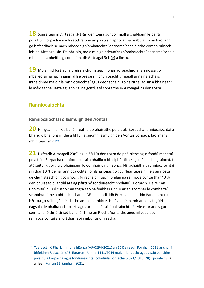<span id="page-10-5"></span>**18** Sonraítear in Airteagal 3(1)(g) den togra gur coinníoll a ghabhann le páirtí polaitiúil Eorpach é nach saothraíonn an páirtí sin spriocanna brabúis. Tá an baol ann go bhféadfadh sé nach mbeadh gníomhaíochtaí eacnamaíocha áirithe comhoiriúnach leis an Airteagal sin. Dá bhrí sin, molaimid go ndéanfar gníomhaíochtaí eacnamaíocha a mheastar a bheith ag comhlíonadh Airteagal 3(1)(g) a liostú.

<span id="page-10-2"></span>**19** Molaimid forálacha breise a chur isteach ionas go seachnófar an riosca go mbaileofaí na hacmhainní dílse breise sin chun teacht timpeall ar na rialacha is infheidhme maidir le ranníocaíochtaí agus deonacháin, go háirithe iad sin a bhaineann le méideanna uasta agus foinsí na gcistí, atá sonraithe in Airteagal 23 den togra.

#### <span id="page-10-0"></span>**Ranníocaíochtaí**

<span id="page-10-1"></span>**Ranníocaíochtaí ó lasmuigh den Aontas**

<span id="page-10-3"></span>**20** Ní ligeann an Rialachán reatha do pháirtithe polaitiúla Eorpacha ranníocaíochtaí a bhailiú ó bhallpháirtithe a bhfuil a suíomh lasmuigh den Aontas Eorpach, faoi mar a mhínítear i mír *[24](#page-11-1)*.

<span id="page-10-6"></span>**21** Ligfeadh Airteagail 23(9) agus 23(10) den togra do pháirtithe agus fondúireachtaí polaitiúla Eorpacha ranníocaíochtaí a bhailiú ó bhallpháirtithe agus ó bhalleagraíochtaí atá suite i dtíortha a bhaineann le Comhairle na hEorpa. Ní rachaidh na ranníocaíochtaí sin thar 10 % de na ranníocaíochtaí iomlána ionas go gcuirfear teorainn leis an riosca de chur isteach ón gcoigríoch. Ní rachaidh luach iomlán na ranníocaíochtaí thar 40 % den bhuiséad bliantúil atá ag páirtí nó fondúireacht pholaitiúil Eorpach. De réir an Choimisiúin, is é cuspóir an togra seo ná feabhas a chur ar an gcomhar le comhaltaí seanbhunaithe a bhfuil luachanna AE acu. I ndiaidh Brexit, shainaithin Parlaimint na hEorpa go raibh gá méadaithe ann le hathbhreithniú a dhéanamh ar na catagóirí éagsúla de bhallraíocht páirtí agus ar bhailiú táillí ballraíochta<sup>[15](#page-10-4)</sup>. Meastar anois gur comhaltaí ó thríú tír iad ballpháirtithe ón Ríocht Aontaithe agus níl cead acu ranníocaíochtaí a sholáthar faoin mbunús dlí reatha.

<span id="page-10-4"></span><sup>&</sup>lt;sup>15</sup> [Tuarascáil ó Pharlaimint na hEorpa \(A9-0294/2021\) an 26](https://www.europarl.europa.eu/doceo/document/A-9-2021-0294_GA.html) Deireadh Fómhair 2021 ar chur i bhfeidhm Rialachán (AE, Euratom) Uimh. [1141/2014 maidir le reacht agus cistiú páirtithe](https://www.europarl.europa.eu/doceo/document/A-9-2021-0294_GA.html)  [polaitiúla Eorpacha agus fondúireachtaí polaitiúla Eorpacha \(2021/2018\(INI\)\), pointe](https://www.europarl.europa.eu/doceo/document/A-9-2021-0294_GA.html) 18, as ar lean [Rún an 11](https://www.europarl.europa.eu/doceo/document/TA-9-2021-0454_GA.html) Samhain 2021.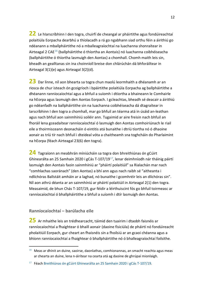<span id="page-11-5"></span>**22** Le hIarscríbhinn I den togra, chuirfí de cheangal ar pháirtithe agus fondúireachtaí polaitiúla Eorpacha dearbhú a thíolacadh a rá go ngabhann siad orthu féin a áirithiú go ndéanann a mballpháirtithe nó a mballeagraíochtaí na luachanna shonraítear in Airteagal 2 CAE[16](#page-11-3) (ballpháirtithe ó thíortha an Aontais) nó luachanna coibhéiseacha (ballpháirtithe ó thíortha lasmuigh den Aontas) a chomhall. Chomh maith leis sin, bheadh an gealltanas sin ina choinníoll breise don chlárúchán dá bhforáiltear in Airteagal 3(1)(e) agus Airteagal 3(2)(d).

<span id="page-11-6"></span>**23** Dar linne, níl aon bhearta sa togra chun maolú leormhaith a dhéanamh ar an riosca de chur isteach ón gcoigríoch i bpáirtithe polaitiúla Eorpacha ag ballpháirtithe a dhéanann ranníocaíochtaí agus a bhfuil a suíomh i dtíortha a bhaineann le Comhairle na hEorpa agus lasmuigh den Aontas Eorpach. I gcleachtas, bheadh sé deacair a áirithiú go ndéanfadh na ballpháirtithe sin na luachanna coibhéiseacha dá dtagraítear in Iarscríbhinn I den togra a chomhall, mar go bhfuil an téarma atá in úsáid an-leathan agus nach bhfuil aon sainmhíniú soiléir ann. Tugaimid ar aire freisin nach bhfuil an fhoráil lena gceadaítear ranníocaíochtaí ó lasmuigh den Aontas comhoiriúnach le riail eile a thoirmisceann deonacháin ó eintitis atá bunaithe i dtríú tíortha nó ó dhaoine aonair as tríú tír nach bhfuil i dteideal vóta a chaitheamh sna toghcháin do Pharlaimint na hEorpa (féach Airteagal 23(6) den togra).

<span id="page-11-1"></span>**24** Tagraíonn an meabhrán míniúcháin sa togra don bhreithiúnas ón gCúirt Ghinearálta an 25 Samhain 2020 i gCás T-107/19[17](#page-11-4), lenar deimhníodh nár tháinig páirtí lasmuigh den Aontais faoin sainmhíniú ar "pháirtí polaitiúil" sa Rialachán mar nach "comhlachas saoránach" (den Aontas) a bhí ann agus nach raibh sé "aitheanta i ndlíchóras Ballstáit amháin ar a laghad, nó bunaithe i gcomhréir leis an dlíchóras sin". Níl aon athrú déanta ar an sainmhíniú ar pháirtí polaitiúil in Airteagal 2(1) den togra. Measaimid, de bhun Chás T-107/19, gur féidir a léirthuiscint fós go bhfuil toirmeasc ar ranníocaíochtaí ó bhallpháirtithe a bhfuil a suíomh i dtír lasmuigh den Aontas.

#### <span id="page-11-0"></span>**Ranníocaíochtaí – barúlacha eile**

<span id="page-11-2"></span>**25** Ar mhaithe leis an trédhearcacht, táimid den tuairim i dtaobh faisnéis ar ranníocaíochtaí a fhaightear ó bhaill aonair (daoine fisiciúla) de pháirtí nó fondúireacht pholaitiúil Eorpach, gur cheart an fhaisnéis sin a fhoilsiú ar an gcaoi chéanna agus a bhíonn ranníocaíochtaí a fhaightear ó bhallpháirtithe nó ó bhalleagraíochtaí foilsithe.

<span id="page-11-3"></span> $16$  Meas ar dhínit an duine, saoirse, daonlathas, comhionannas, an smacht reachta agus meas ar chearta an duine, lena n-áirítear na cearta atá ag daoine de ghrúpaí mionlaigh.

<span id="page-11-4"></span> $17$  Féach [Breithiúnas ón gCúirt Ghinearálta an 25](https://curia.europa.eu/juris/document/document.jsf;jsessionid=B4E56C5936C29C578140B43F388C6595?text=&docid=234334&pageIndex=0&doclang=en&mode=lst&dir=&occ=first&part=1&cid=1131777) Samhain 2020 i gCás T-107/19.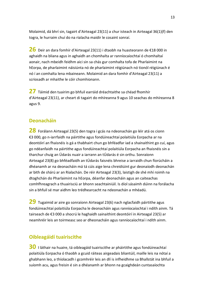Molaimid, dá bhrí sin, tagairt d'Airteagal 23(11) a chur isteach in Airteagal 36(1)(f) den togra, le hurraim chuí do na rialacha maidir le cosaint sonraí.

<span id="page-12-4"></span>**26** Deir an dara fomhír d'Airteagal 23(11) i dtaobh na huasteorann de €18 000 in aghaidh na bliana agus in aghaidh an chomhalta ar ranníocaíochtaí ó chomhaltaí aonair, nach mbeidh feidhm aici sin sa chás gur comhalta tofa de Pharlaimint na hEorpa, de pharlaimint náisiúnta nó de pharlaimint réigiúnach nó tionól réigiúnach é nó í an comhalta lena mbaineann. Molaimid an dara fomhír d'Airteagal 23(11) a scriosadh ar mhaithe le cóir chomhionann.

<span id="page-12-5"></span>**27** Táimid den tuairim go bhfuil earráid dréachtaithe sa chéad fhomhír d'Airteagal 23(11), ar cheart di tagairt do mhíreanna 9 agus 10 seachas do mhíreanna 8 agus 9.

#### <span id="page-12-0"></span>**Deonacháin**

<span id="page-12-3"></span>**28** Forálann Airteagal 23(5) den togra i gcás na ndeonachán go léir atá os cionn €3 000, go n-iarrfaidh na páirtithe agus fondúireachtaí polaitiúla Eorpacha ar na deontóirí an fhaisnéis is gá a thabhairt chun go bhféadfar iad a shainaithint go cuí, agus go ndéanfaidh na páirtithe agus fondúireachtaí polaitiúla Eorpacha an fhaisnéis sin a tharchur chuig an Údarás nuair a iarrann an tÚdarás é sin orthu. Sonraíonn Airteagal 23(8) go bhféadfaidh an tÚdarás faisnéis bhreise a iarraidh chun fíorúcháin a dhéanamh ar na deonacháin má tá cúis aige lena chreidiúint gur deonaíodh deonachán ar bith de shárú ar an Rialachán. De réir Airteagal 23(3), laistigh de shé mhí roimh na dtoghchán do Pharlaimint na hEorpa, déanfar deonacháin agus an caiteachas comhfhreagrach a thuairisciú ar bhonn seachtainiúil. Is díol sásaimh dúinn na forálacha sin a bhfuil sé mar aidhm leo trédhearcacht na ndeonachán a mhéadú.

<span id="page-12-2"></span>**29** Tugaimid ar aire go sonraíonn Airteagal 23(6) nach nglacfaidh páirtithe agus fondúireachtaí polaitiúla Eorpacha le deonacháin agus ranníocaíochtaí i ndíth ainm. Tá tairseach de €3 000 a shocrú le haghaidh sainaithint deontóirí in Airteagal 23(5) ar neamhréir leis an toirmeasc seo ar dheonacháin agus ranníocaíochtaí i ndíth ainm.

#### <span id="page-12-1"></span>**Oibleagáidí tuairiscithe**

<span id="page-12-6"></span>**30** I láthair na huaire, tá oibleagáid tuairiscithe ar pháirtithe agus fondúireachtaí polaitiúla Eorpacha ó thaobh a gcuid ráiteas airgeadais bliantúil, maille leis na nótaí a ghabhann leo, a thíolacadh i gcomhréir leis an dlí is infheidhme sa Bhallstát ina bhfuil a suíomh acu, agus freisin é sin a dhéanamh ar bhonn na gcaighdeán cuntasaíochta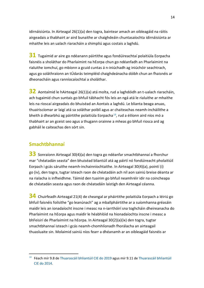idirnáisiúnta. In Airteagal 26(1)(a) den togra, baintear amach an oibleagáid na ráitis airgeadais a thabhairt ar aird bunaithe ar chaighdeáin chuntasaíochta idirnáisiúnta ar mhaithe leis an ualach riaracháin a shimpliú agus costais a laghdú.

**31** Tugaimid ar aire go ndéanann páirtithe agus fondúireachtaí polaitiúla Eorpacha faisnéis a sholáthar do Pharlaimint na hEorpa chun go ndéanfadh an Pharlaimint na rialuithe iomchuí, go mbíonn a gcuid cuntas á n-iniúchadh ag iniúchóir seachtrach, agus go soláthraíonn an tÚdarás teimpléid chaighdeánacha dóibh chun an fhaisnéis ar dheonacháin agus ranníocaíochtaí a sholáthar.

<span id="page-13-4"></span>**32** Aontaímid le hAirteagal 26(1)(a) atá molta, rud a laghdóidh an t-ualach riaracháin, ach tugaimid chun suntais go bhfuil tábhacht fós leis an ngá atá le rialuithe ar mhaithe leis na rioscaí airgeadais do bhuiséad an Aontais a laghdú. Le blianta beaga anuas, thuairiscíomar ar laigí atá sa soláthar poiblí agus ar chaiteachas neamh-incháilithe a bheith á dhearbhú ag páirtithe polaitiúla Eorpacha<sup>[18](#page-13-2)</sup>, rud a éilíonn aird níos mó a thabhairt ar an gceist seo agus a thugann orainne a mheas go bhfuil riosca ard ag gabháil le caiteachas den sórt sin.

#### <span id="page-13-0"></span>**Smachtbhannaí**

<span id="page-13-1"></span>**33** Sonraíonn Airteagal 30(4)(a) den togra go ndéanfar smachtbhannaí a fhorchur mar "chéatadán seasta" den bhuiséad bliantúil atá ag páirtí nó fondúireacht pholaitiúil Eorpach i gcás sáruithe neamh-inchainníochtaithe. In Airteagal 30(4)(a), pointí (i) go (iv), den togra, tugtar isteach raon de chéatadáin ach níl aon sainiú breise déanta ar na rialacha is infheidhme. Táimid den tuairim go bhfuil neamhréir idir na coincheapa de chéatadán seasta agus raon de chéatadáin laistigh den Airteagal céanna.

<span id="page-13-3"></span>**34** Chuirfeadh Airteagal 21(4) de cheangal ar pháirtithe polaitiúla Eorpach a léiriú go bhfuil faisnéis foilsithe "go leanúnach" ag a mballpháirtithe ar a suíomhanna gréasáin maidir leis an ionadaíocht inscne i measc na n-iarrthóirí sna toghcháin dheireanacha do Pharlaimint na hEorpa agus maidir le héabhlóid na hionadaíochta inscne i measc a bhFeisirí de Pharlaimint na hEorpa. In Airteagal 30(2)(a)(ix) den togra, tugtar smachtbhannaí isteach i gcás neamh-chomhlíonadh fhorálacha an airteagail thuasluaite sin. Molaimid sainiú níos fearr a dhéanamh ar an oibleagáid faisnéis ar

<span id="page-13-2"></span><sup>&</sup>lt;sup>18</sup> Féach mír 9.8 d[e Thuarascáil bhliantúil CIE do 2019](https://www.eca.europa.eu/Lists/ECADocuments/annualreports-2019/annualreports-2019_EN.pdf) agus mír 9.11 de Thuarascáil bhliantúil [CIE do 2014.](https://www.eca.europa.eu/Lists/ECADocuments/annualreports-2014/annualreports-2014-EN.pdf)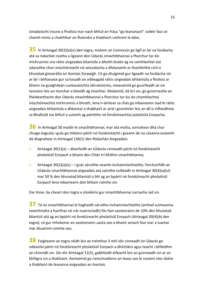ionadaíocht inscne a fhoilsiú mar nach bhfuil an frása "go leanúnach" soiléir faoi cé chomh minic a chaithfear an fhaisnéis a thabhairt cothrom le dáta.

<span id="page-14-3"></span>**35** In Airteagal 30(2)(a)(v) den togra, molann an Coimisiún go ligfí ar lár na forálacha atá sa rialachán reatha a ligeann don Údarás smachtbhannaí a fhorchur tar éis míchruinnis sna ráitis airgeadais bliantúla a bheith braite ag na comhlachtaí atá údaraithe chun iniúchóireacht nó seiceálacha a dhéanamh ar thairbhithe cistí ó bhuiséad ginearálta an Aontais Eorpaigh. Cé go dtuigimid gur ligeadh na forálacha sin ar lár i bhfianaise gur scriosadh an oibleagáid ráitis airgeadais bhliantúla a fhoilsiú ar bhonn na gcaighdeán cuntasaíochta idirnáisiúnta, measaimid go gcuirfeadh sé sin teorainn leis an tionchar a bheidh ag iniúchtaí. Molaimid, dá brí sin, go gcoinneofaí an fhéidearthacht don Údarás smachtbhannaí a fhorchur tar éis do chomhlachtaí iniúchóireachta míchruinnis a bhrath, lena n-áirítear sa chás go mbaineann siad le ráitis airgeadais bhliantúla a dhéantar a thabhairt ar aird i gcomhréir leis an dlí is infheidhme sa Bhallstát ina bhfuil a suíomh ag páirtithe nó fondúireachtaí polaitiúla Eorpacha.

<span id="page-14-2"></span>**36** In Airteagal 30 maidir le smachtbhannaí, mar atá molta, sonraítear dhá chur chuige éagsúla i gcás go mbíonn páirtí nó fondúireacht i gceann de na cásanna eisiaimh dá dtagraítear in Airteagal 136(1) den Rialachán Airgeadais:

- o Airteagal 30(1)(a) déanfaidh an tÚdarás cinneadh páirtí nó fondúireacht pholaitiúil Eorpach a bhaint den Chlár trí bhíthin smachtbhanna;
- o Airteagal 30(2)(a)(v) i gcás sáruithe neamh-inchainníochtaithe, forchuirfidh an tÚdarás smachtbhannaí airgeadais atá sainithe tuilleadh in Airteagal 30(4)(a)(vi) mar 50 % den bhuiséad bliantúil a bhí ag an bpáirtí nó fondúireacht pholaitiúil Eorpach lena mbaineann don bhliain roimhe sin.

Dar linne, ba cheart don togra a shoiléiriú gur smachtbhannaí carnacha iad sin.

<span id="page-14-0"></span>**37** Tá na smachtbhannaí le haghaidh sáruithe inchainníochtaithe (amhail suimeanna neamhrialta a fuarthas nó nár tuairiscíodh) fós faoi uasteorainn de 10% den bhuiséad bliantúil atá ag an bpáirtí nó fondúireacht pholaitiúil Eorpach (Airteagal 30(4)(b) den togra), cé gur mholamar an uasteorainn uasta seo a bhaint amach faoi mar a luamar inár dtuairimí roimhe seo.

<span id="page-14-1"></span>**38** Faigheann an togra réidh leis an tréimhse 3 mhí idir cinneadh ón Údarás go ndéanfaí páirtí nó fondúireacht pholaitiúil Eorpach a dhíchlárú agus teacht i bhfeidhm an chinnidh sin. De réir Airteagal 11(5), gabhfaidh éifeacht leis an gcinneadh sin ar an bhfógra sin a thabhairt. Aontaímid go rannchuidíonn an leasú seo le cosaint níos láidre a thabhairt do leasanna airgeadais an Aontais.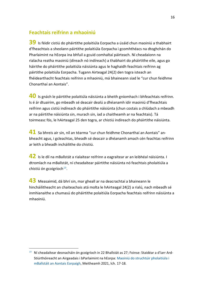#### <span id="page-15-0"></span>**Feachtais reifrinn a mhaoiniú**

<span id="page-15-1"></span>**39** Is féidir cistiú do pháirtithe polaitiúla Eorpacha a úsáid chun maoiniú a thabhairt d'fheachtais a sheolann páirtithe polaitiúla Eorpacha i gcomhthéacs na dtoghchán do Pharlaimint na hEorpa ina bhfuil a gcuid comhaltaí páirteach. Ní cheadaíonn na rialacha reatha maoiniú (díreach nó indíreach) a thabhairt do pháirtithe eile, agus go háirithe do pháirtithe polaitiúla náisiúnta agus le haghaidh feachtais reifrinn ag páirtithe polaitiúla Eorpacha. Tugann Airteagal 24(2) den togra isteach an fhéidearthacht feachtais reifrinn a mhaoiniú, má bhaineann siad le "cur chun feidhme Chonarthaí an Aontais".

<span id="page-15-4"></span>**40** Is gnách le páirtithe polaitiúla náisiúnta a bheith gníomhach i bhfeachtais reifrinn. Is é ár dtuairim, go mbeadh sé deacair dealú a dhéanamh idir maoiniú d'fheachtais reifrinn agus cistiú indíreach do pháirtithe náisiúnta (chun costais a chlúdach a mbeadh ar na páirtithe náisiúnta sin, murach sin, iad a chaitheamh ar na feachtais). Tá toirmeasc fós, le hAirteagal 25 den togra, ar chistiú indíreach do pháirtithe náisiúnta.

**41** Sa bhreis air sin, níl an téarma "cur chun feidhme Chonarthaí an Aontais" anbheacht agus, i gcleachtas, bheadh sé deacair a dhéanamh amach cén feachtas reifrinn ar leith a bheadh incháilithe do chistiú.

**42** Is le dlí na mBallstát a rialaítear reifrinn a eagraítear ar an leibhéal náisiúnta. I dtromlach na mBallstát, ní cheadaítear páirtithe náisiúnta nó feachtais pholaitiúla a chistiú ón gcoigríoch $19$ .

<span id="page-15-2"></span>**43** Measaimid, dá bhrí sin, mar gheall ar na deacrachtaí a bhaineann le hincháilitheacht an chaiteachais atá molta le hAirteagal 24(2) a rialú, nach mbeadh sé inmhianaithe a chumasú do pháirtithe polaitiúla Eorpacha feachtais reifrinn náisiúnta a mhaoiniú.

<span id="page-15-3"></span><sup>&</sup>lt;sup>19</sup> Ní cheadaítear deonacháin ón gcoigríoch in 22 Bhallstát as 27: Foinse: Staidéar a d'iarr Ard-Stiúrthóireacht an Airgeadais i bParlaimint na hEorpa: [Maoiniú do struchtúir pholaitiúla i](https://www.europarl.europa.eu/meetdocs/2014_2019/plmrep/COMMITTEES/AFCO/DV/2021/10-27/2021-JUNE_PE694.836_Financingpoliticalstructures_withAnnex3_EN.pdf)  [mBallstáit an Aontais Eorpaigh,](https://www.europarl.europa.eu/meetdocs/2014_2019/plmrep/COMMITTEES/AFCO/DV/2021/10-27/2021-JUNE_PE694.836_Financingpoliticalstructures_withAnnex3_EN.pdf) Meitheamh 2021, lch. 17-18.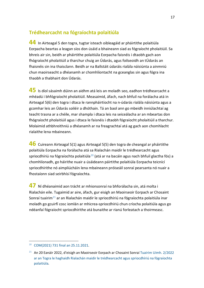#### <span id="page-16-0"></span>**Trédhearcacht na fógraíochta polaitiúla**

<span id="page-16-1"></span>**44** In Airteagal 5 den togra, tugtar isteach oibleagáid ar pháirtithe polaitiúla Eorpacha beartas a leagan síos don úsáid a bhaineann siad as fógraíocht pholaitiúil. Sa bhreis air sin, beidh ar pháirtithe polaitiúla Eorpacha faisnéis i dtaobh gach aon fhógraíocht pholaitiúil a tharchur chuig an Údarás, agus foilseoidh an tÚdarás an fhaisnéis sin ina thaisclann. Beidh ar na Ballstáit údaráis rialála náisiúnta a ainmniú chun maoirseacht a dhéanamh ar chomhlíontacht na gceanglas sin agus fógra ina thaobh a thabhairt don Údarás.

<span id="page-16-6"></span>**45** Is díol sásaimh dúinn an aidhm atá leis an moladh seo, eadhon trédhearcacht a mhéadú i bhfógraíocht pholaitiúil. Measaimid, áfach, nach bhfuil na forálacha atá in Airteagal 5(6) den togra i dtaca le rannpháirtíocht na n-údarás rialála náisiúnta agus a gcomhar leis an Údarás soiléir a dhóthain. Tá an baol ann go mbeidh inniúlachtaí ag teacht trasna ar a chéile, mar shampla i dtaca leis na seiceálacha ar an mbeartas don fhógraíocht pholaitiúil agus i dtaca le faisnéis i dtaobh fógraíocht pholaitiúil a tharchur. Molaimid athbhreithniú a dhéanamh ar na freagrachtaí atá ag gach aon chomhlacht rialaithe lena mbaineann.

<span id="page-16-5"></span>**46** Cuireann Airteagal 5(1) agus Airteagal 5(5) den togra de cheangal ar pháirtithe polaitiúla Eorpacha na forálacha atá sa Rialachán maidir le trédhearcacht agus spriocdhíriú na fógraíochta polaitiúla<sup>[20](#page-16-3)</sup> (atá ar na bacáin agus nach bhfuil glactha fós) a chomhlíonadh, go háirithe nuair a úsáideann páirtithe polaitiúla Eorpacha teicnící spriocdhírithe nó aimpliúcháin lena mbaineann próiseáil sonraí pearsanta nó nuair a fhostaíonn siad seirbhísí fógraíochta.

<span id="page-16-2"></span>**47** Ní dhéanaimid aon trácht ar mhionsonraí na bhforálacha sin, atá molta i Rialachán eile. Tugaimid ar aire, áfach, gur eisigh an Maoirseoir Eorpach ar Chosaint Sonraí tuairim $^{21}$  $^{21}$  $^{21}$  ar an Rialachán maidir le spriocdhíriú na fógraíochta polaitiúla inar moladh go gcuirfí cosc iomlán ar mhicrea-spriocdhíriú chun críocha polaitiúla agus go ndéanfaí fógraíocht spriocdhírithe atá bunaithe ar rianú forleatach a thoirmeasc.

<span id="page-16-3"></span> <sup>20</sup> COM(2021) <sup>731</sup> [final an 25.11.2021.](https://eur-lex.europa.eu/legal-content/GA/TXT/?uri=CELEX:52021PC0731)

<span id="page-16-4"></span> $21$  An 20 Eanáir 2022, d'eisigh an Maoirseoir Eorpach ar Chosaint Sonraí [Tuairim Uimh.](https://edps.europa.eu/data-protection/our-work/publications/opinions/edps-opinion-proposal-regulation-transparency-and_en) 2/2022 [ar an Togra le haghaidh Rialachán maidir le trédhearcacht agus spriocdhíriú na fógraíochta](https://edps.europa.eu/data-protection/our-work/publications/opinions/edps-opinion-proposal-regulation-transparency-and_en)  [polaitiúla.](https://edps.europa.eu/data-protection/our-work/publications/opinions/edps-opinion-proposal-regulation-transparency-and_en)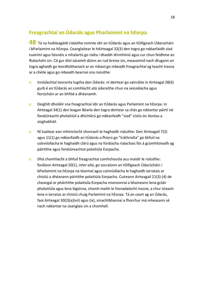#### <span id="page-17-0"></span>**Freagrachtaí an Údaráis agus Pharlaimint na hEorpa**

<span id="page-17-1"></span>**48** Tá na hoibleagáidí rialaithe roinnte idir an tÚdarás agus an tOifigeach Údarúcháin i bParlaimint na hEorpa. Ceanglaítear le hAirteagal 32(3) den togra go ndéanfaidh siad tuairimí agus faisnéis a mhalartú go rialta i dtaobh léirmhíniú agus cur chun feidhme an Rialacháin sin. Cé gur díol sásaimh dúinn an rud breise sin, measaimid nach dtugann an togra aghaidh go leordhóthanach ar an mbaol go mbeadh freagrachtaí ag teacht trasna ar a chéile agus go mbeadh bearnaí sna rialuithe:

- o Inniúlachtaí teoranta tugtha don Údarás: ní deirtear go sainráite in Airteagal 28(6) gurb é an tÚdarás an comhlacht atá údaraithe chun na seiceálacha agus fíorúcháin ar an bhfód a dhéanamh.
- o Deighilt dhoiléir sna freagrachtaí idir an tÚdarás agus Parlaimint na hEorpa: in Airteagal 34(1) den leagan Béarla den togra deirtear sa chás go ndéantar páirtí nó fondúireacht pholaitiúil a dhíchlárú go ndéanfaidh "siad" cistiú ón Aontas a aisghabháil.
- o Ní luaitear aon mhinicíocht shonrach le haghaidh rialuithe: Deir Airteagail 7(2) agus 11(1) go ndéanfaidh an tÚdarás a fhíorú go "tráthrialta" go bhfuil na coinníollacha le haghaidh clárú agus na forálacha rialachais fós á gcomhlíonadh ag páirtithe agus fondúireachtaí polaitiúla Eorpacha.
- o Dhá chomhlacht a bhfuil freagrachtaí comhchosúla acu maidir le rialuithe: forálann Airteagal 20(1), *inter alia*, go socraíonn an tOifigeach Údarúcháin i bParlaimint na hEorpa na téarmaí agus coinníollacha le haghaidh iarratais ar chistiú a dhéanann páirtithe polaitiúla Eorpacha. Cuireann Airteagail 21(3)-(4) de cheangal ar pháirtithe polaitiúla Eorpacha mionsonraí a bhaineann lena gcláir pholaitiúla agus lena lógónna, chomh maith le hionadaíocht inscne, a chur isteach lena n-iarratas ar chistiú chuig Parlaimint na hEorpa. Tá an ceart ag an Údarás, faoi Airteagal 30(2)(a)(vii) agus (ix), smachtbhannaí a fhorchur má mheasann sé nach ndéantar na ceanglais sin a chomhall.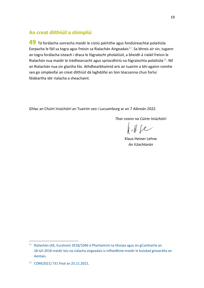#### <span id="page-18-0"></span>**An creat dlíthiúil a shimpliú**

<span id="page-18-1"></span>**49** Tá forálacha sonracha maidir le cistiú páirtithe agus fondúireachtaí polaitiúla Eorpacha le fáil sa togra agus freisin sa Rialachán Airgeadais<sup>[22](#page-18-2)</sup>. Sa bhreis air sin, tugann an togra forálacha isteach i dtaca le fógraíocht pholaitiúil, a bheidh á rialáil freisin le Rialachán nua maidir le trédhearcacht agus spriocdhíriú na fógraíochta polaitiúla<sup>23</sup>. Níl an Rialachán nua sin glactha fós. Athdhearbhaímid arís an tuairim a bhí againn roimhe seo go simpleofaí an creat dlíthiúil dá laghdófaí an líon téacsanna chun forluí féideartha idir rialacha a sheachaint.

Ghlac an Chúirt Iniúchóirí an Tuairim seo i Lucsamburg ar an 7 Aibreán 2022.

*Thar ceann na Cúirte Iniúchóirí*

 $Hf$ e

Klaus-Heiner Lehne *An tUachtarán*

<span id="page-18-2"></span><sup>&</sup>lt;sup>22</sup> Rialachán (AE, Euratom) 2018/1046 ó Pharlaimint na hEorpa agus ón gComhairle an 18 Iúil [2018 maidir leis na rialacha airgeadais is infheidhme maidir le buiséad ginearálta an](https://eur-lex.europa.eu/legal-content/GA/TXT/?uri=CELEX:32018R1046)  [Aontais.](https://eur-lex.europa.eu/legal-content/GA/TXT/?uri=CELEX:32018R1046)

<span id="page-18-3"></span><sup>23</sup> COM(2021) 731 [final an 25.11.2021.](https://eur-lex.europa.eu/legal-content/GA/TXT/?uri=CELEX:52021PC0731)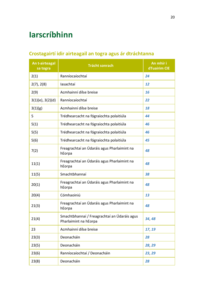## <span id="page-19-0"></span>**Iarscríbhinn**

### <span id="page-19-1"></span>**Crostagairtí idir airteagail an togra agus ár dtráchtanna**

| An t-airteagal<br>sa togra | <b>Trácht sonrach</b>                                                 | An mhír i<br>dTuairim CIE |
|----------------------------|-----------------------------------------------------------------------|---------------------------|
| 2(1)                       | Ranníocaíochtaí                                                       | 24                        |
| 2(7), 2(8)                 | lasachtaí                                                             | 12                        |
| 2(9)                       | Acmhainní dílse breise                                                | 16                        |
| $3(1)(e)$ , $3(2)(d)$      | Ranníocaíochtaí                                                       | 22                        |
| 3(1)(g)                    | Acmhainní dílse breise                                                | 18                        |
| 5                          | Trédhearcacht na fógraíochta polaitiúla                               | 44                        |
| 5(1)                       | Trédhearcacht na fógraíochta polaitiúla                               | 46                        |
| 5(5)                       | Trédhearcacht na fógraíochta polaitiúla                               | 46                        |
| 5(6)                       | Trédhearcacht na fógraíochta polaitiúla                               | 45                        |
| 7(2)                       | Freagrachtaí an Údaráis agus Pharlaimint na<br>hEorpa                 | 48                        |
| 11(1)                      | Freagrachtaí an Údaráis agus Pharlaimint na<br>hEorpa                 | 48                        |
| 11(5)                      | Smachtbhannaí                                                         | 38                        |
| 20(1)                      | Freagrachtaí an Údaráis agus Pharlaimint na<br>hEorpa                 | 48                        |
| 20(4)                      | Cómhaoiniú                                                            | 13                        |
| 21(3)                      | Freagrachtaí an Údaráis agus Pharlaimint na<br>hEorpa                 | 48                        |
| 21(4)                      | Smachtbhannaí / Freagrachtaí an Údaráis agus<br>Pharlaimint na hEorpa | 34,48                     |
| 23                         | Acmhainní dílse breise                                                | 17, 19                    |
| 23(3)                      | Deonacháin                                                            | 28                        |
| 23(5)                      | Deonacháin                                                            | 28, 29                    |
| 23(6)                      | Ranníocaíochtaí / Deonacháin                                          | 23, 29                    |
| 23(8)                      | Deonacháin                                                            | 28                        |